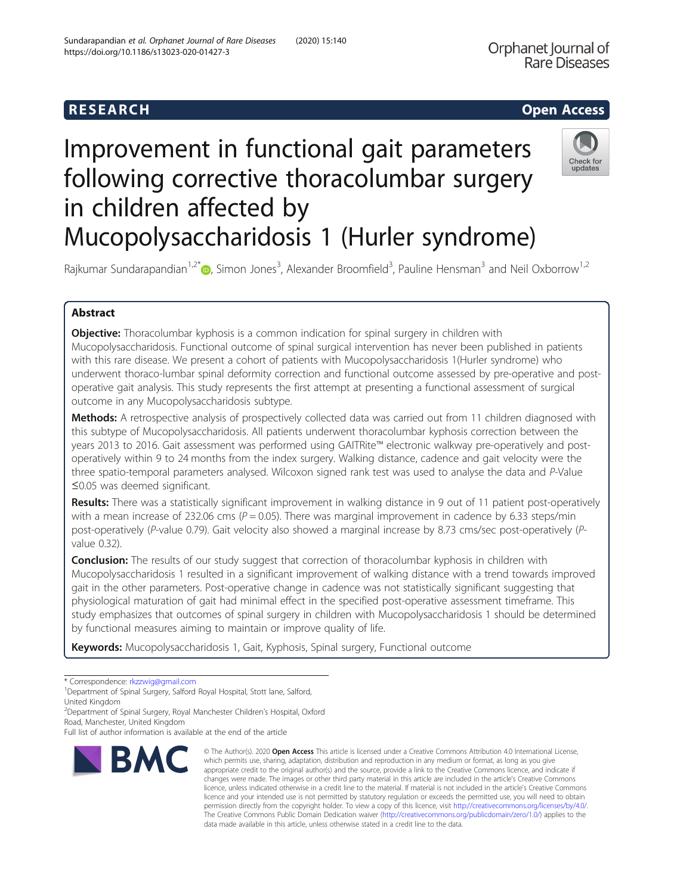# **RESEARCH CHEAR CHEAR CHEAR CHEAR CHEAR CHEAR CHEAR CHEAR CHEAR CHEAR CHEAR CHEAR CHEAR CHEAR CHEAR CHEAR CHEAR**

# Improvement in functional gait parameters following corrective thoracolumbar surgery in children affected by Mucopolysaccharidosis 1 (Hurler syndrome)



Rajkumar Sundarapandian<sup>1,2\*</sup>®, Simon Jones<sup>3</sup>, Alexander Broomfield<sup>3</sup>, Pauline Hensman<sup>3</sup> and Neil Oxborrow<sup>1,2</sup>

# Abstract

**Objective:** Thoracolumbar kyphosis is a common indication for spinal surgery in children with Mucopolysaccharidosis. Functional outcome of spinal surgical intervention has never been published in patients with this rare disease. We present a cohort of patients with Mucopolysaccharidosis 1(Hurler syndrome) who underwent thoraco-lumbar spinal deformity correction and functional outcome assessed by pre-operative and postoperative gait analysis. This study represents the first attempt at presenting a functional assessment of surgical outcome in any Mucopolysaccharidosis subtype.

Methods: A retrospective analysis of prospectively collected data was carried out from 11 children diagnosed with this subtype of Mucopolysaccharidosis. All patients underwent thoracolumbar kyphosis correction between the years 2013 to 2016. Gait assessment was performed using GAITRite™ electronic walkway pre-operatively and postoperatively within 9 to 24 months from the index surgery. Walking distance, cadence and gait velocity were the three spatio-temporal parameters analysed. Wilcoxon signed rank test was used to analyse the data and P-Value ≤0.05 was deemed significant.

Results: There was a statistically significant improvement in walking distance in 9 out of 11 patient post-operatively with a mean increase of 232.06 cms ( $P = 0.05$ ). There was marginal improvement in cadence by 6.33 steps/min post-operatively (P-value 0.79). Gait velocity also showed a marginal increase by 8.73 cms/sec post-operatively (Pvalue 0.32).

**Conclusion:** The results of our study suggest that correction of thoracolumbar kyphosis in children with Mucopolysaccharidosis 1 resulted in a significant improvement of walking distance with a trend towards improved gait in the other parameters. Post-operative change in cadence was not statistically significant suggesting that physiological maturation of gait had minimal effect in the specified post-operative assessment timeframe. This study emphasizes that outcomes of spinal surgery in children with Mucopolysaccharidosis 1 should be determined by functional measures aiming to maintain or improve quality of life.

Keywords: Mucopolysaccharidosis 1, Gait, Kyphosis, Spinal surgery, Functional outcome

2 Department of Spinal Surgery, Royal Manchester Children's Hospital, Oxford Road, Manchester, United Kingdom

Full list of author information is available at the end of the article



<sup>©</sup> The Author(s), 2020 **Open Access** This article is licensed under a Creative Commons Attribution 4.0 International License, which permits use, sharing, adaptation, distribution and reproduction in any medium or format, as long as you give appropriate credit to the original author(s) and the source, provide a link to the Creative Commons licence, and indicate if changes were made. The images or other third party material in this article are included in the article's Creative Commons licence, unless indicated otherwise in a credit line to the material. If material is not included in the article's Creative Commons licence and your intended use is not permitted by statutory regulation or exceeds the permitted use, you will need to obtain permission directly from the copyright holder. To view a copy of this licence, visit [http://creativecommons.org/licenses/by/4.0/.](http://creativecommons.org/licenses/by/4.0/) The Creative Commons Public Domain Dedication waiver [\(http://creativecommons.org/publicdomain/zero/1.0/](http://creativecommons.org/publicdomain/zero/1.0/)) applies to the data made available in this article, unless otherwise stated in a credit line to the data.

<sup>\*</sup> Correspondence: [rkzzwig@gmail.com](mailto:rkzzwig@gmail.com) <sup>1</sup>

<sup>&</sup>lt;sup>1</sup>Department of Spinal Surgery, Salford Royal Hospital, Stott lane, Salford, United Kingdom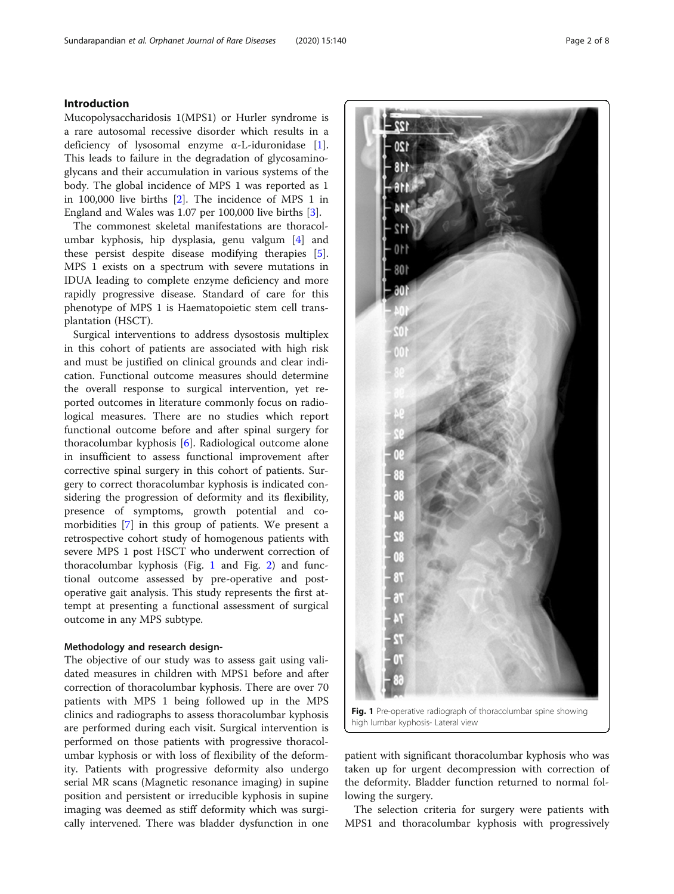### Introduction

Mucopolysaccharidosis 1(MPS1) or Hurler syndrome is a rare autosomal recessive disorder which results in a deficiency of lysosomal enzyme α-L-iduronidase [\[1](#page-7-0)]. This leads to failure in the degradation of glycosaminoglycans and their accumulation in various systems of the body. The global incidence of MPS 1 was reported as 1 in 100,000 live births [\[2](#page-7-0)]. The incidence of MPS 1 in England and Wales was 1.07 per 100,000 live births [\[3\]](#page-7-0).

The commonest skeletal manifestations are thoracolumbar kyphosis, hip dysplasia, genu valgum [\[4](#page-7-0)] and these persist despite disease modifying therapies [\[5](#page-7-0)]. MPS 1 exists on a spectrum with severe mutations in IDUA leading to complete enzyme deficiency and more rapidly progressive disease. Standard of care for this phenotype of MPS 1 is Haematopoietic stem cell transplantation (HSCT).

Surgical interventions to address dysostosis multiplex in this cohort of patients are associated with high risk and must be justified on clinical grounds and clear indication. Functional outcome measures should determine the overall response to surgical intervention, yet reported outcomes in literature commonly focus on radiological measures. There are no studies which report functional outcome before and after spinal surgery for thoracolumbar kyphosis [\[6](#page-7-0)]. Radiological outcome alone in insufficient to assess functional improvement after corrective spinal surgery in this cohort of patients. Surgery to correct thoracolumbar kyphosis is indicated considering the progression of deformity and its flexibility, presence of symptoms, growth potential and comorbidities [\[7](#page-7-0)] in this group of patients. We present a retrospective cohort study of homogenous patients with severe MPS 1 post HSCT who underwent correction of thoracolumbar kyphosis (Fig. 1 and Fig. [2](#page-2-0)) and functional outcome assessed by pre-operative and postoperative gait analysis. This study represents the first attempt at presenting a functional assessment of surgical outcome in any MPS subtype.

### Methodology and research design-

The objective of our study was to assess gait using validated measures in children with MPS1 before and after correction of thoracolumbar kyphosis. There are over 70 patients with MPS 1 being followed up in the MPS clinics and radiographs to assess thoracolumbar kyphosis are performed during each visit. Surgical intervention is performed on those patients with progressive thoracolumbar kyphosis or with loss of flexibility of the deformity. Patients with progressive deformity also undergo serial MR scans (Magnetic resonance imaging) in supine position and persistent or irreducible kyphosis in supine imaging was deemed as stiff deformity which was surgically intervened. There was bladder dysfunction in one Q.

Fig. 1 Pre-operative radiograph of thoracolumbar spine showing high lumbar kyphosis- Lateral view

patient with significant thoracolumbar kyphosis who was taken up for urgent decompression with correction of the deformity. Bladder function returned to normal following the surgery.

The selection criteria for surgery were patients with MPS1 and thoracolumbar kyphosis with progressively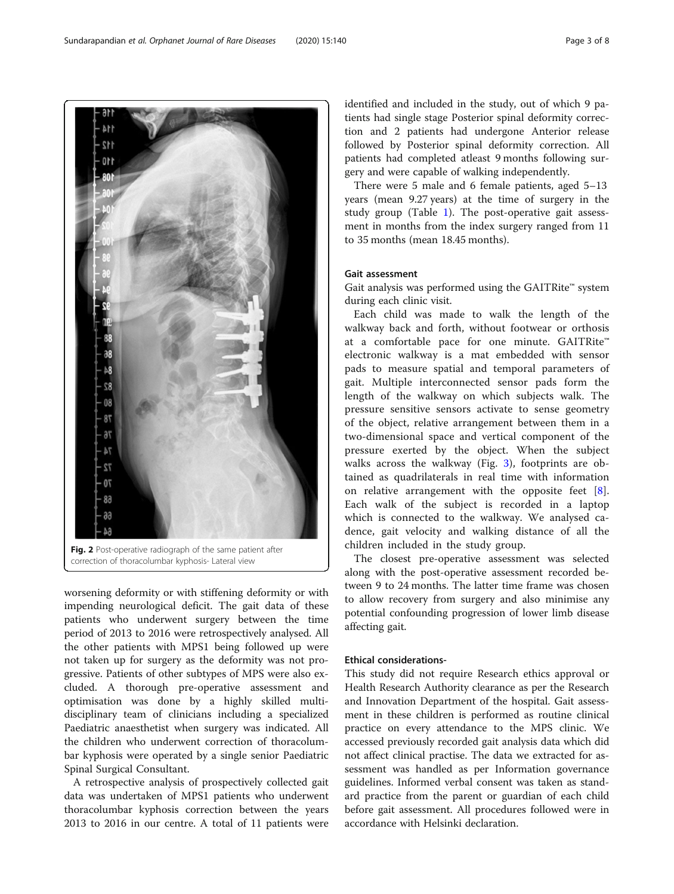worsening deformity or with stiffening deformity or with impending neurological deficit. The gait data of these patients who underwent surgery between the time period of 2013 to 2016 were retrospectively analysed. All the other patients with MPS1 being followed up were not taken up for surgery as the deformity was not progressive. Patients of other subtypes of MPS were also excluded. A thorough pre-operative assessment and optimisation was done by a highly skilled multidisciplinary team of clinicians including a specialized Paediatric anaesthetist when surgery was indicated. All the children who underwent correction of thoracolumbar kyphosis were operated by a single senior Paediatric Spinal Surgical Consultant.

A retrospective analysis of prospectively collected gait data was undertaken of MPS1 patients who underwent thoracolumbar kyphosis correction between the years 2013 to 2016 in our centre. A total of 11 patients were identified and included in the study, out of which 9 patients had single stage Posterior spinal deformity correction and 2 patients had undergone Anterior release followed by Posterior spinal deformity correction. All patients had completed atleast 9 months following surgery and were capable of walking independently.

There were 5 male and 6 female patients, aged 5–13 years (mean 9.27 years) at the time of surgery in the study group (Table [1\)](#page-3-0). The post-operative gait assessment in months from the index surgery ranged from 11 to 35 months (mean 18.45 months).

#### Gait assessment

Gait analysis was performed using the GAITRite™ system during each clinic visit.

Each child was made to walk the length of the walkway back and forth, without footwear or orthosis at a comfortable pace for one minute. GAITRite™ electronic walkway is a mat embedded with sensor pads to measure spatial and temporal parameters of gait. Multiple interconnected sensor pads form the length of the walkway on which subjects walk. The pressure sensitive sensors activate to sense geometry of the object, relative arrangement between them in a two-dimensional space and vertical component of the pressure exerted by the object. When the subject walks across the walkway (Fig. [3](#page-3-0)), footprints are obtained as quadrilaterals in real time with information on relative arrangement with the opposite feet [\[8](#page-7-0)]. Each walk of the subject is recorded in a laptop which is connected to the walkway. We analysed cadence, gait velocity and walking distance of all the children included in the study group.

The closest pre-operative assessment was selected along with the post-operative assessment recorded between 9 to 24 months. The latter time frame was chosen to allow recovery from surgery and also minimise any potential confounding progression of lower limb disease affecting gait.

#### Ethical considerations-

This study did not require Research ethics approval or Health Research Authority clearance as per the Research and Innovation Department of the hospital. Gait assessment in these children is performed as routine clinical practice on every attendance to the MPS clinic. We accessed previously recorded gait analysis data which did not affect clinical practise. The data we extracted for assessment was handled as per Information governance guidelines. Informed verbal consent was taken as standard practice from the parent or guardian of each child before gait assessment. All procedures followed were in accordance with Helsinki declaration.

Fig. 2 Post-operative radiograph of the same patient after correction of thoracolumbar kyphosis- Lateral view

<span id="page-2-0"></span>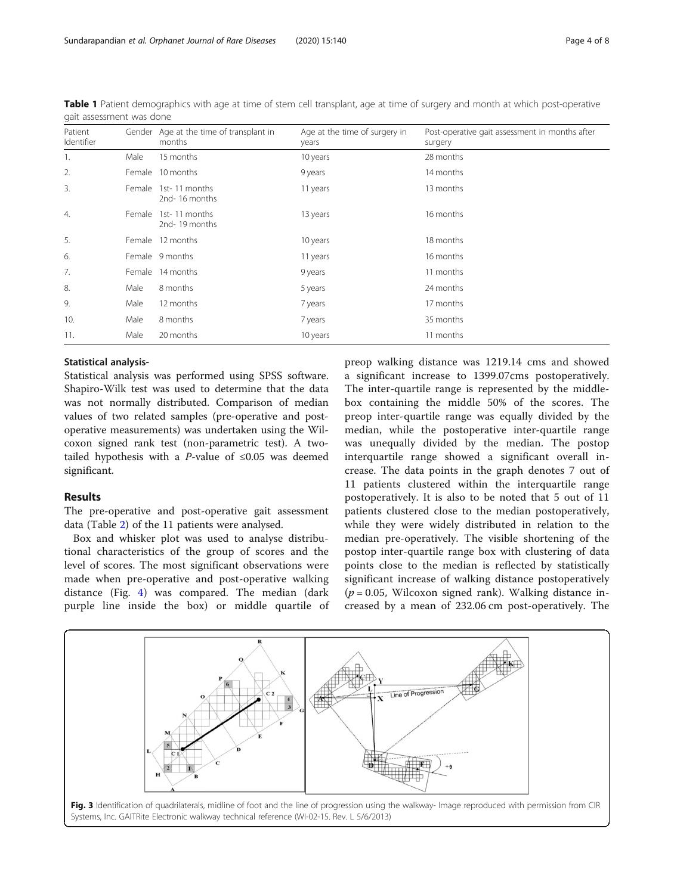| Patient<br>Identifier |      | Gender Age at the time of transplant in<br>months | Age at the time of surgery in<br>years | Post-operative gait assessment in months after<br>surgery |
|-----------------------|------|---------------------------------------------------|----------------------------------------|-----------------------------------------------------------|
| 1.                    | Male | 15 months                                         | 10 years                               | 28 months                                                 |
| 2.                    |      | Female 10 months                                  | 9 years                                | 14 months                                                 |
| 3.                    |      | Female 1st-11 months<br>2nd-16 months             | 11 years                               | 13 months                                                 |
| $\overline{4}$ .      |      | Female 1st-11 months<br>2nd-19 months             | 13 years                               | 16 months                                                 |
| 5.                    |      | Female 12 months                                  | 10 years                               | 18 months                                                 |
| 6.                    |      | Female 9 months                                   | 11 years                               | 16 months                                                 |
| 7.                    |      | Female 14 months                                  | 9 years                                | 11 months                                                 |
| 8.                    | Male | 8 months                                          | 5 years                                | 24 months                                                 |
| 9.                    | Male | 12 months                                         | 7 years                                | 17 months                                                 |
| 10.                   | Male | 8 months                                          | 7 years                                | 35 months                                                 |
| 11.                   | Male | 20 months                                         | 10 years                               | 11 months                                                 |

<span id="page-3-0"></span>Table 1 Patient demographics with age at time of stem cell transplant, age at time of surgery and month at which post-operative gait assessment was done

#### Statistical analysis-

Statistical analysis was performed using SPSS software. Shapiro-Wilk test was used to determine that the data was not normally distributed. Comparison of median values of two related samples (pre-operative and postoperative measurements) was undertaken using the Wilcoxon signed rank test (non-parametric test). A twotailed hypothesis with a P-value of  $\leq 0.05$  was deemed significant.

#### Results

The pre-operative and post-operative gait assessment data (Table [2\)](#page-4-0) of the 11 patients were analysed.

Box and whisker plot was used to analyse distributional characteristics of the group of scores and the level of scores. The most significant observations were made when pre-operative and post-operative walking distance (Fig. [4\)](#page-4-0) was compared. The median (dark purple line inside the box) or middle quartile of

preop walking distance was 1219.14 cms and showed a significant increase to 1399.07cms postoperatively. The inter-quartile range is represented by the middlebox containing the middle 50% of the scores. The preop inter-quartile range was equally divided by the median, while the postoperative inter-quartile range was unequally divided by the median. The postop interquartile range showed a significant overall increase. The data points in the graph denotes 7 out of 11 patients clustered within the interquartile range postoperatively. It is also to be noted that 5 out of 11 patients clustered close to the median postoperatively, while they were widely distributed in relation to the median pre-operatively. The visible shortening of the postop inter-quartile range box with clustering of data points close to the median is reflected by statistically significant increase of walking distance postoperatively  $(p = 0.05,$  Wilcoxon signed rank). Walking distance increased by a mean of 232.06 cm post-operatively. The

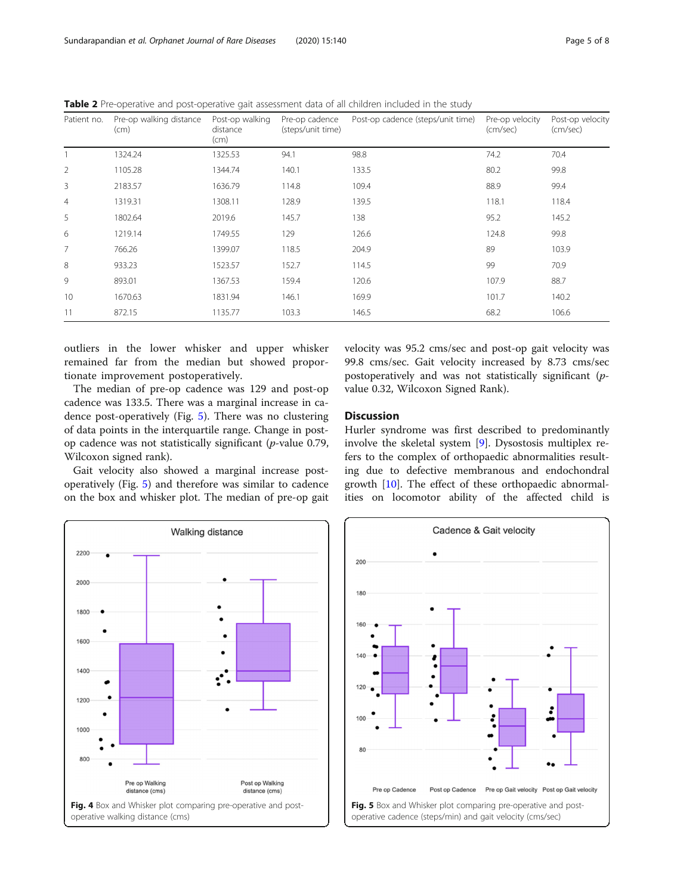<span id="page-4-0"></span>Table 2 Pre-operative and post-operative gait assessment data of all children included in the study

| Patient no.    | Pre-op walking distance<br>(cm) | Post-op walking<br>distance<br>(cm) | Pre-op cadence<br>(steps/unit time) | Post-op cadence (steps/unit time) | Pre-op velocity<br>(cm/sec) | Post-op velocity<br>(cm/sec) |
|----------------|---------------------------------|-------------------------------------|-------------------------------------|-----------------------------------|-----------------------------|------------------------------|
|                | 1324.24                         | 1325.53                             | 94.1                                | 98.8                              | 74.2                        | 70.4                         |
| $\overline{2}$ | 1105.28                         | 1344.74                             | 140.1                               | 133.5                             | 80.2                        | 99.8                         |
| 3              | 2183.57                         | 1636.79                             | 114.8                               | 109.4                             | 88.9                        | 99.4                         |
| $\overline{4}$ | 1319.31                         | 1308.11                             | 128.9                               | 139.5                             | 118.1                       | 118.4                        |
| 5              | 1802.64                         | 2019.6                              | 145.7                               | 138                               | 95.2                        | 145.2                        |
| 6              | 1219.14                         | 1749.55                             | 129                                 | 126.6                             | 124.8                       | 99.8                         |
| 7              | 766.26                          | 1399.07                             | 118.5                               | 204.9                             | 89                          | 103.9                        |
| 8              | 933.23                          | 1523.57                             | 152.7                               | 114.5                             | 99                          | 70.9                         |
| 9              | 893.01                          | 1367.53                             | 159.4                               | 120.6                             | 107.9                       | 88.7                         |
| 10             | 1670.63                         | 1831.94                             | 146.1                               | 169.9                             | 101.7                       | 140.2                        |
| 11             | 872.15                          | 1135.77                             | 103.3                               | 146.5                             | 68.2                        | 106.6                        |

outliers in the lower whisker and upper whisker remained far from the median but showed proportionate improvement postoperatively.

The median of pre-op cadence was 129 and post-op cadence was 133.5. There was a marginal increase in cadence post-operatively (Fig. 5). There was no clustering of data points in the interquartile range. Change in postop cadence was not statistically significant (p-value 0.79, Wilcoxon signed rank).

Gait velocity also showed a marginal increase postoperatively (Fig. 5) and therefore was similar to cadence on the box and whisker plot. The median of pre-op gait velocity was 95.2 cms/sec and post-op gait velocity was 99.8 cms/sec. Gait velocity increased by 8.73 cms/sec postoperatively and was not statistically significant (pvalue 0.32, Wilcoxon Signed Rank).

## Discussion

Hurler syndrome was first described to predominantly involve the skeletal system [\[9](#page-7-0)]. Dysostosis multiplex refers to the complex of orthopaedic abnormalities resulting due to defective membranous and endochondral growth [[10\]](#page-7-0). The effect of these orthopaedic abnormalities on locomotor ability of the affected child is



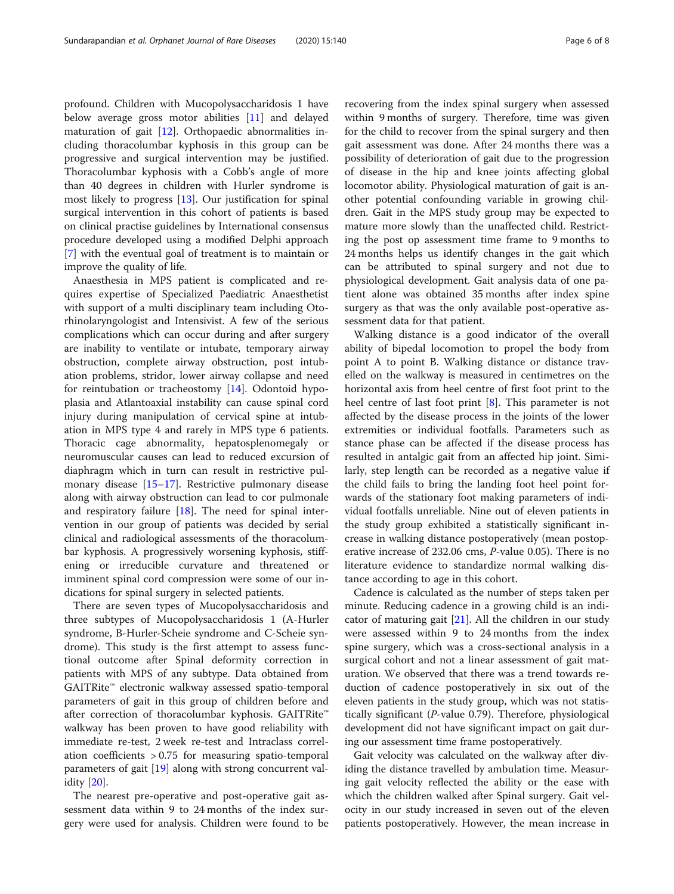profound. Children with Mucopolysaccharidosis 1 have below average gross motor abilities [\[11](#page-7-0)] and delayed maturation of gait [[12\]](#page-7-0). Orthopaedic abnormalities including thoracolumbar kyphosis in this group can be progressive and surgical intervention may be justified. Thoracolumbar kyphosis with a Cobb's angle of more than 40 degrees in children with Hurler syndrome is most likely to progress [[13\]](#page-7-0). Our justification for spinal surgical intervention in this cohort of patients is based on clinical practise guidelines by International consensus procedure developed using a modified Delphi approach [[7\]](#page-7-0) with the eventual goal of treatment is to maintain or improve the quality of life.

Anaesthesia in MPS patient is complicated and requires expertise of Specialized Paediatric Anaesthetist with support of a multi disciplinary team including Otorhinolaryngologist and Intensivist. A few of the serious complications which can occur during and after surgery are inability to ventilate or intubate, temporary airway obstruction, complete airway obstruction, post intubation problems, stridor, lower airway collapse and need for reintubation or tracheostomy [\[14](#page-7-0)]. Odontoid hypoplasia and Atlantoaxial instability can cause spinal cord injury during manipulation of cervical spine at intubation in MPS type 4 and rarely in MPS type 6 patients. Thoracic cage abnormality, hepatosplenomegaly or neuromuscular causes can lead to reduced excursion of diaphragm which in turn can result in restrictive pulmonary disease [\[15](#page-7-0)–[17\]](#page-7-0). Restrictive pulmonary disease along with airway obstruction can lead to cor pulmonale and respiratory failure [\[18](#page-7-0)]. The need for spinal intervention in our group of patients was decided by serial clinical and radiological assessments of the thoracolumbar kyphosis. A progressively worsening kyphosis, stiffening or irreducible curvature and threatened or imminent spinal cord compression were some of our indications for spinal surgery in selected patients.

There are seven types of Mucopolysaccharidosis and three subtypes of Mucopolysaccharidosis 1 (A-Hurler syndrome, B-Hurler-Scheie syndrome and C-Scheie syndrome). This study is the first attempt to assess functional outcome after Spinal deformity correction in patients with MPS of any subtype. Data obtained from GAITRite™ electronic walkway assessed spatio-temporal parameters of gait in this group of children before and after correction of thoracolumbar kyphosis. GAITRite™ walkway has been proven to have good reliability with immediate re-test, 2 week re-test and Intraclass correlation coefficients > 0.75 for measuring spatio-temporal parameters of gait [[19\]](#page-7-0) along with strong concurrent validity [[20\]](#page-7-0).

The nearest pre-operative and post-operative gait assessment data within 9 to 24 months of the index surgery were used for analysis. Children were found to be

recovering from the index spinal surgery when assessed within 9 months of surgery. Therefore, time was given for the child to recover from the spinal surgery and then gait assessment was done. After 24 months there was a possibility of deterioration of gait due to the progression of disease in the hip and knee joints affecting global locomotor ability. Physiological maturation of gait is another potential confounding variable in growing children. Gait in the MPS study group may be expected to mature more slowly than the unaffected child. Restricting the post op assessment time frame to 9 months to 24 months helps us identify changes in the gait which can be attributed to spinal surgery and not due to physiological development. Gait analysis data of one patient alone was obtained 35 months after index spine surgery as that was the only available post-operative assessment data for that patient.

Walking distance is a good indicator of the overall ability of bipedal locomotion to propel the body from point A to point B. Walking distance or distance travelled on the walkway is measured in centimetres on the horizontal axis from heel centre of first foot print to the heel centre of last foot print [\[8](#page-7-0)]. This parameter is not affected by the disease process in the joints of the lower extremities or individual footfalls. Parameters such as stance phase can be affected if the disease process has resulted in antalgic gait from an affected hip joint. Similarly, step length can be recorded as a negative value if the child fails to bring the landing foot heel point forwards of the stationary foot making parameters of individual footfalls unreliable. Nine out of eleven patients in the study group exhibited a statistically significant increase in walking distance postoperatively (mean postoperative increase of 232.06 cms, P-value 0.05). There is no literature evidence to standardize normal walking distance according to age in this cohort.

Cadence is calculated as the number of steps taken per minute. Reducing cadence in a growing child is an indicator of maturing gait [[21\]](#page-7-0). All the children in our study were assessed within 9 to 24 months from the index spine surgery, which was a cross-sectional analysis in a surgical cohort and not a linear assessment of gait maturation. We observed that there was a trend towards reduction of cadence postoperatively in six out of the eleven patients in the study group, which was not statistically significant (P-value 0.79). Therefore, physiological development did not have significant impact on gait during our assessment time frame postoperatively.

Gait velocity was calculated on the walkway after dividing the distance travelled by ambulation time. Measuring gait velocity reflected the ability or the ease with which the children walked after Spinal surgery. Gait velocity in our study increased in seven out of the eleven patients postoperatively. However, the mean increase in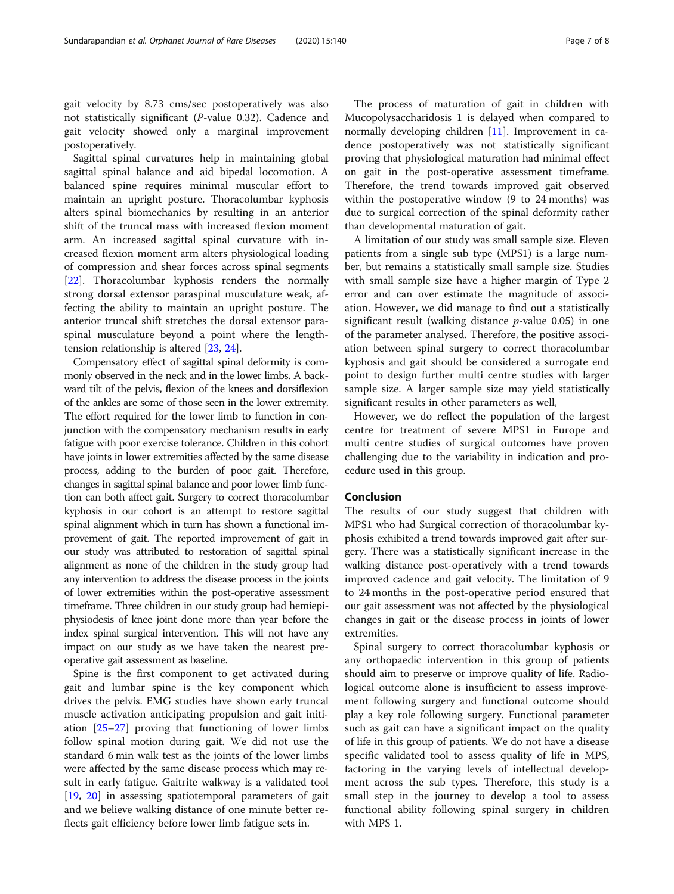gait velocity by 8.73 cms/sec postoperatively was also not statistically significant (P-value 0.32). Cadence and gait velocity showed only a marginal improvement postoperatively.

Sagittal spinal curvatures help in maintaining global sagittal spinal balance and aid bipedal locomotion. A balanced spine requires minimal muscular effort to maintain an upright posture. Thoracolumbar kyphosis alters spinal biomechanics by resulting in an anterior shift of the truncal mass with increased flexion moment arm. An increased sagittal spinal curvature with increased flexion moment arm alters physiological loading of compression and shear forces across spinal segments [[22\]](#page-7-0). Thoracolumbar kyphosis renders the normally strong dorsal extensor paraspinal musculature weak, affecting the ability to maintain an upright posture. The anterior truncal shift stretches the dorsal extensor paraspinal musculature beyond a point where the lengthtension relationship is altered [[23,](#page-7-0) [24\]](#page-7-0).

Compensatory effect of sagittal spinal deformity is commonly observed in the neck and in the lower limbs. A backward tilt of the pelvis, flexion of the knees and dorsiflexion of the ankles are some of those seen in the lower extremity. The effort required for the lower limb to function in conjunction with the compensatory mechanism results in early fatigue with poor exercise tolerance. Children in this cohort have joints in lower extremities affected by the same disease process, adding to the burden of poor gait. Therefore, changes in sagittal spinal balance and poor lower limb function can both affect gait. Surgery to correct thoracolumbar kyphosis in our cohort is an attempt to restore sagittal spinal alignment which in turn has shown a functional improvement of gait. The reported improvement of gait in our study was attributed to restoration of sagittal spinal alignment as none of the children in the study group had any intervention to address the disease process in the joints of lower extremities within the post-operative assessment timeframe. Three children in our study group had hemiepiphysiodesis of knee joint done more than year before the index spinal surgical intervention. This will not have any impact on our study as we have taken the nearest preoperative gait assessment as baseline.

Spine is the first component to get activated during gait and lumbar spine is the key component which drives the pelvis. EMG studies have shown early truncal muscle activation anticipating propulsion and gait initiation [\[25](#page-7-0)–[27](#page-7-0)] proving that functioning of lower limbs follow spinal motion during gait. We did not use the standard 6 min walk test as the joints of the lower limbs were affected by the same disease process which may result in early fatigue. Gaitrite walkway is a validated tool [[19,](#page-7-0) [20](#page-7-0)] in assessing spatiotemporal parameters of gait and we believe walking distance of one minute better reflects gait efficiency before lower limb fatigue sets in.

The process of maturation of gait in children with Mucopolysaccharidosis 1 is delayed when compared to normally developing children [[11\]](#page-7-0). Improvement in cadence postoperatively was not statistically significant proving that physiological maturation had minimal effect on gait in the post-operative assessment timeframe. Therefore, the trend towards improved gait observed within the postoperative window (9 to 24 months) was due to surgical correction of the spinal deformity rather than developmental maturation of gait.

A limitation of our study was small sample size. Eleven patients from a single sub type (MPS1) is a large number, but remains a statistically small sample size. Studies with small sample size have a higher margin of Type 2 error and can over estimate the magnitude of association. However, we did manage to find out a statistically significant result (walking distance  $p$ -value 0.05) in one of the parameter analysed. Therefore, the positive association between spinal surgery to correct thoracolumbar kyphosis and gait should be considered a surrogate end point to design further multi centre studies with larger sample size. A larger sample size may yield statistically significant results in other parameters as well,

However, we do reflect the population of the largest centre for treatment of severe MPS1 in Europe and multi centre studies of surgical outcomes have proven challenging due to the variability in indication and procedure used in this group.

#### Conclusion

The results of our study suggest that children with MPS1 who had Surgical correction of thoracolumbar kyphosis exhibited a trend towards improved gait after surgery. There was a statistically significant increase in the walking distance post-operatively with a trend towards improved cadence and gait velocity. The limitation of 9 to 24 months in the post-operative period ensured that our gait assessment was not affected by the physiological changes in gait or the disease process in joints of lower extremities.

Spinal surgery to correct thoracolumbar kyphosis or any orthopaedic intervention in this group of patients should aim to preserve or improve quality of life. Radiological outcome alone is insufficient to assess improvement following surgery and functional outcome should play a key role following surgery. Functional parameter such as gait can have a significant impact on the quality of life in this group of patients. We do not have a disease specific validated tool to assess quality of life in MPS, factoring in the varying levels of intellectual development across the sub types. Therefore, this study is a small step in the journey to develop a tool to assess functional ability following spinal surgery in children with MPS 1.